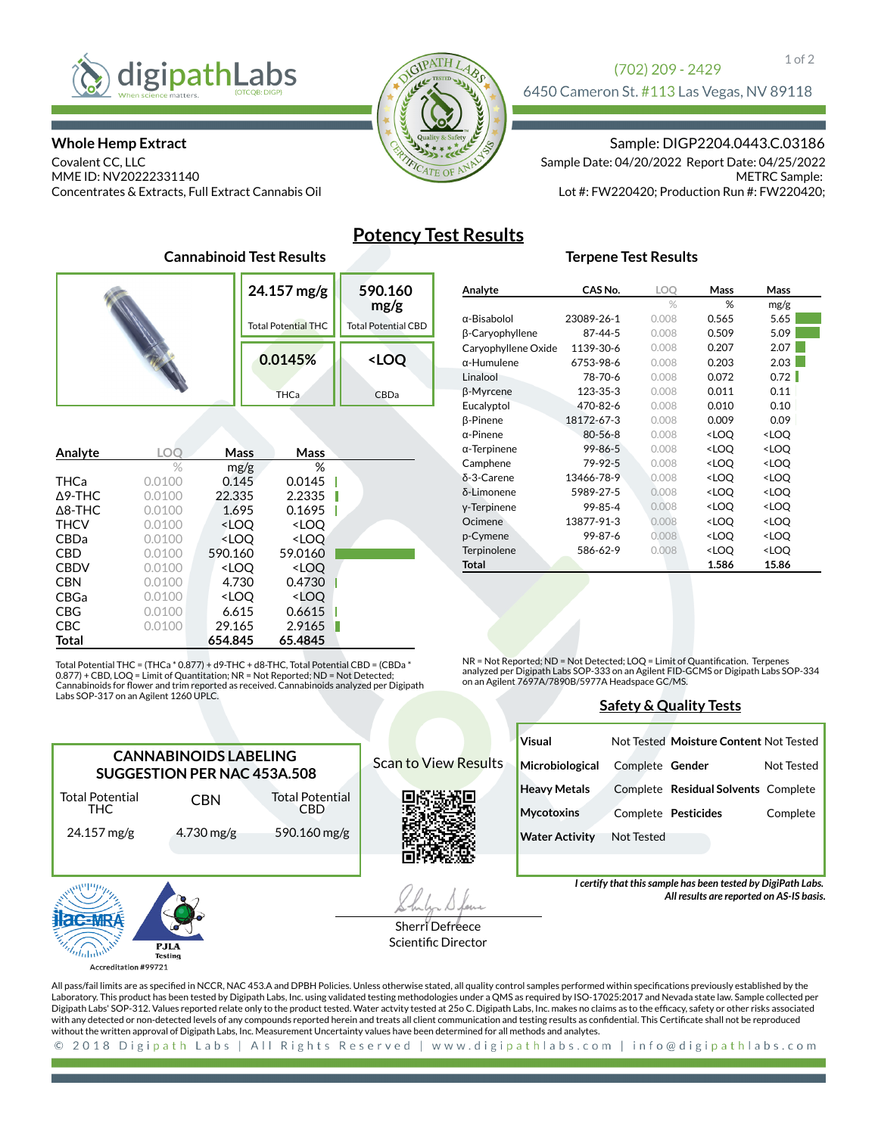

### **Whole Hemp Extract**

Covalent CC, LLC MME ID: NV20222331140 Concentrates & Extracts, Full Extract Cannabis Oil



## (702) 209 - 2429 6450 Cameron St. #113 Las Vegas, NV 89118

Sample: DIGP2204.0443.C.03186

METRC Sample: Lot #: FW220420; Production Run #: FW220420; Sample Date: 04/20/2022 Report Date: 04/25/2022

# **Potency Test Results**

## **Terpene Test Results**

|                   |        | 24.157 mg/g<br><b>Total Potential THC</b> |                                                                   | 590.160<br>mg/g<br><b>Total Potential CBD</b> |  |                     |
|-------------------|--------|-------------------------------------------|-------------------------------------------------------------------|-----------------------------------------------|--|---------------------|
|                   |        |                                           |                                                                   | 0.0145%                                       |  | <loq< th=""></loq<> |
|                   |        |                                           |                                                                   | <b>THCa</b>                                   |  | CBDa                |
|                   |        |                                           |                                                                   |                                               |  |                     |
| Analyte           | LOC    |                                           | Mass                                                              | Mass                                          |  |                     |
|                   | %      |                                           | mg/g                                                              | ℅                                             |  |                     |
| <b>THCa</b>       | 0.0100 |                                           | 0.145                                                             | 0.0145                                        |  |                     |
| $\triangle$ 9-THC | 0.0100 | 22.335                                    |                                                                   | 2.2335                                        |  |                     |
| $\Delta$ 8-THC    | 0.0100 |                                           | 1.695                                                             | 0.1695                                        |  |                     |
| <b>THCV</b>       | 0.0100 |                                           | <loq< td=""><td><loq< td=""><td></td><td></td></loq<></td></loq<> | <loq< td=""><td></td><td></td></loq<>         |  |                     |
| <b>CBDa</b>       | 0.0100 |                                           | <loq< td=""><td><loq< td=""><td></td><td></td></loq<></td></loq<> | <loq< td=""><td></td><td></td></loq<>         |  |                     |
| <b>CBD</b>        | 0.0100 | 590.160                                   |                                                                   | 59.0160                                       |  |                     |
| <b>CBDV</b>       | 0.0100 |                                           | <loq< th=""><th><loq< th=""><th></th><th></th></loq<></th></loq<> | <loq< th=""><th></th><th></th></loq<>         |  |                     |
| <b>CBN</b>        | 0.0100 |                                           | 4.730                                                             | 0.4730                                        |  |                     |
| CBGa              | 0.0100 |                                           | <loq< th=""><th><loq< th=""><th></th><th></th></loq<></th></loq<> | <loq< th=""><th></th><th></th></loq<>         |  |                     |
| <b>CBG</b>        | 0.0100 |                                           | 6.615                                                             | 0.6615                                        |  |                     |
| <b>CBC</b>        | 0.0100 | 29.165                                    |                                                                   | 2.9165                                        |  |                     |
| Total             |        | 654.845                                   |                                                                   | 65.4845                                       |  |                     |

**Cannabinoid Test Results**

Total Potential THC = (THCa \* 0.877) + d9-THC + d8-THC, Total Potential CBD = (CBDa \* 0.877) + CBD, LOQ = Limit of Quantitation; NR = Not Reported; ND = Not Detected;<br>Cannabinoids for flower and trim reported as received. Cannabinoids analyzed per Digipath Labs SOP-317 on an Agilent 1260 UPLC.

> Total Potential CBD 590.160 mg/g

**CANNABINOIDS LABELING SUGGESTION PER NAC 453A.508**

CBN

4.730 mg/g

| Analyte             | CAS No.       | LOQ   | <b>Mass</b>                                     | Mass                |
|---------------------|---------------|-------|-------------------------------------------------|---------------------|
|                     |               | $\%$  | %                                               | mg/g                |
| $\alpha$ -Bisabolol | 23089-26-1    | 0.008 | 0.565                                           | 5.65                |
| β-Caryophyllene     | 87-44-5       | 0.008 | 0.509                                           | 5.09                |
| Caryophyllene Oxide | 1139-30-6     | 0.008 | 0.207                                           | 2.07                |
| $\alpha$ -Humulene  | 6753-98-6     | 0.008 | 0.203                                           | 2.03                |
| Linalool            | 78-70-6       | 0.008 | 0.072                                           | 0.72                |
| β-Myrcene           | 123-35-3      | 0.008 | 0.011                                           | 0.11                |
| Eucalyptol          | 470-82-6      | 0.008 | 0.010                                           | 0.10                |
| β-Pinene            | 18172-67-3    | 0.008 | 0.009                                           | 0.09                |
| $\alpha$ -Pinene    | $80 - 56 - 8$ | 0.008 | <loq< td=""><td><loq< td=""></loq<></td></loq<> | <loq< td=""></loq<> |
| $\alpha$ -Terpinene | 99-86-5       | 0.008 | <loq< td=""><td><loq< td=""></loq<></td></loq<> | <loq< td=""></loq<> |
| Camphene            | 79-92-5       | 0.008 | <loq< td=""><td><loq< td=""></loq<></td></loq<> | <loq< td=""></loq<> |
| δ-3-Carene          | 13466-78-9    | 0.008 | <loq< td=""><td><loq< td=""></loq<></td></loq<> | <loq< td=""></loq<> |
| δ-Limonene          | 5989-27-5     | 0.008 | <loq< td=""><td><loq< td=""></loq<></td></loq<> | <loq< td=""></loq<> |
| y-Terpinene         | 99-85-4       | 0.008 | <loq< td=""><td><loq< td=""></loq<></td></loq<> | <loq< td=""></loq<> |
| Ocimene             | 13877-91-3    | 0.008 | <loq< td=""><td><loq< td=""></loq<></td></loq<> | <loq< td=""></loq<> |
| p-Cymene            | 99-87-6       | 0.008 | <loq< td=""><td><loq< td=""></loq<></td></loq<> | <loq< td=""></loq<> |
| <b>Terpinolene</b>  | 586-62-9      | 0.008 | <loq< td=""><td><loq< td=""></loq<></td></loq<> | <loq< td=""></loq<> |
| Total               |               |       | 1.586                                           | 15.86               |
|                     |               |       |                                                 |                     |

NR = Not Reported; ND = Not Detected; LOQ = Limit of Quantification. Terpenes analyzed per Digipath Labs SOP-333 on an Agilent FID-GCMS or Digipath Labs SOP-334 on an Agilent 7697A/7890B/5977A Headspace GC/MS.

### **Safety & Quality Tests**

|  |                             | Visual                |                   | Not Tested Moisture Content Not Tested |            |
|--|-----------------------------|-----------------------|-------------------|----------------------------------------|------------|
|  | <b>Scan to View Results</b> | Microbiological       | Complete Gender   |                                        | Not Tested |
|  |                             | <b>Heavy Metals</b>   |                   | Complete Residual Solvents Complete    |            |
|  |                             | <b>Mycotoxins</b>     |                   | Complete Pesticides                    | Complete   |
|  |                             | <b>Water Activity</b> | <b>Not Tested</b> |                                        |            |
|  |                             |                       |                   |                                        |            |

*I certify that this sample has been tested by DigiPath Labs.* 

*All results are reported on AS-IS basis.*



Total Potential THC 24.157 mg/g

Sherri Defreece Scientific Director

All pass/fail limits are as specified in NCCR, NAC 453.A and DPBH Policies. Unless otherwise stated, all quality control samples performed within specifications previously established by the Laboratory. This product has been tested by Digipath Labs, Inc. using validated testing methodologies under a QMS as required by ISO-17025:2017 and Nevada state law. Sample collected per Digipath Labs' SOP-312. Values reported relate only to the product tested. Water actvity tested at 25o C. Digipath Labs, Inc. makes no claims as to the efcacy, safety or other risks associated with any detected or non-detected levels of any compounds reported herein and treats all client communication and testing results as condential. This Certicate shall not be reproduced without the written approval of Digipath Labs, Inc. Measurement Uncertainty values have been determined for all methods and analytes.

2018 Digipath Labs | All Rights Reserved | www.digipathlabs.com | info@digipathlabs.com  $\odot$